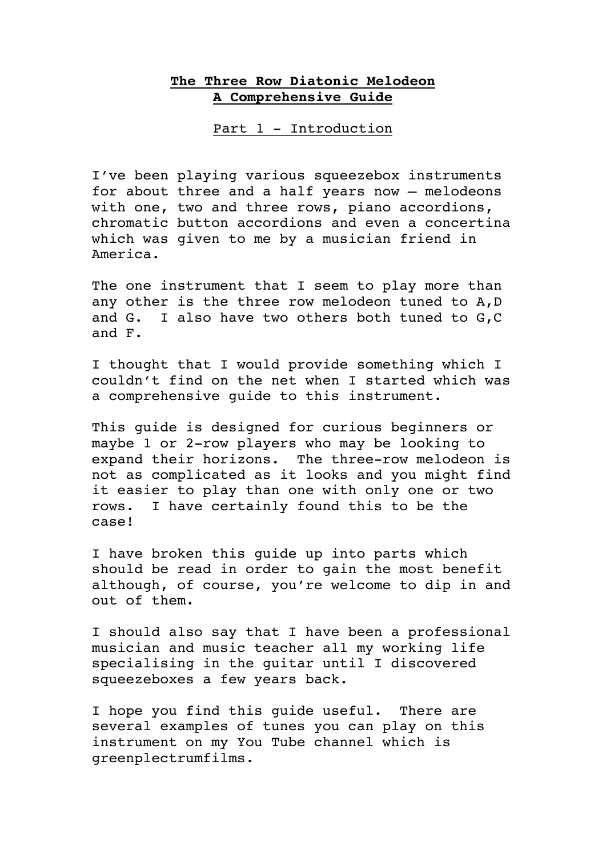## **The Three Row Diatonic Melodeon A Comprehensive Guide**

Part 1 - Introduction

I've been playing various squeezebox instruments for about three and a half years now – melodeons with one, two and three rows, piano accordions, chromatic button accordions and even a concertina which was given to me by a musician friend in America.

The one instrument that I seem to play more than any other is the three row melodeon tuned to A,D and G. I also have two others both tuned to G,C and F.

I thought that I would provide something which I couldn't find on the net when I started which was a comprehensive guide to this instrument.

This guide is designed for curious beginners or maybe 1 or 2-row players who may be looking to expand their horizons. The three-row melodeon is not as complicated as it looks and you might find it easier to play than one with only one or two rows. I have certainly found this to be the case!

I have broken this guide up into parts which should be read in order to gain the most benefit although, of course, you're welcome to dip in and out of them.

I should also say that I have been a professional musician and music teacher all my working life specialising in the guitar until I discovered squeezeboxes a few years back.

I hope you find this guide useful. There are several examples of tunes you can play on this instrument on my You Tube channel which is greenplectrumfilms.